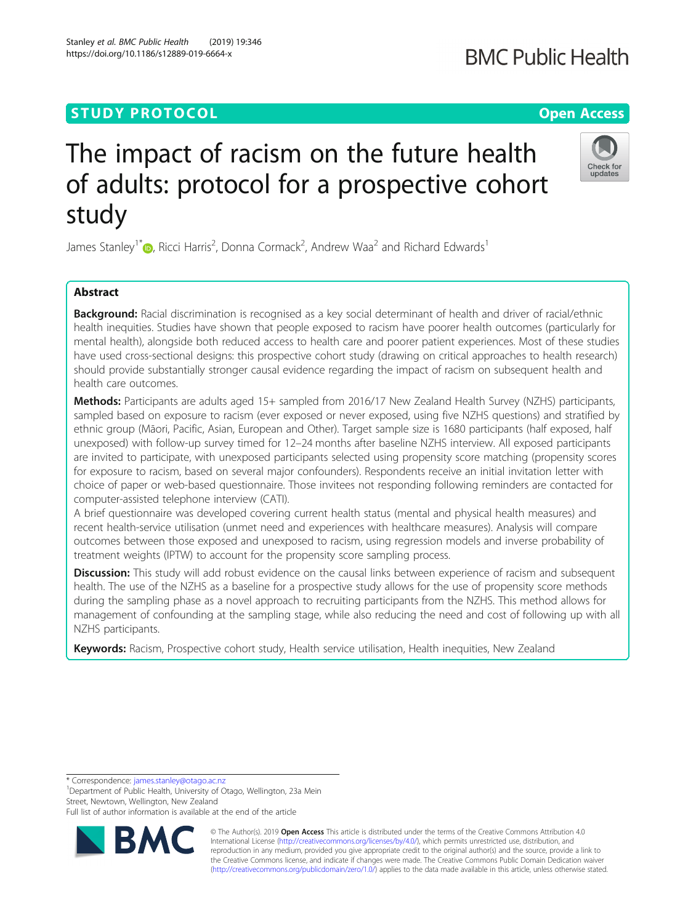# **STUDY PROTOCOL CONSUMING THE CONSUMING OPEN ACCESS**

# The impact of racism on the future health of adults: protocol for a prospective cohort study

James Stanley<sup>1\*</sup> $\textsf{O}$ [,](http://orcid.org/0000-0002-8572-1047) Ricci Harris<sup>2</sup>, Donna Cormack<sup>2</sup>, Andrew Waa<sup>2</sup> and Richard Edwards<sup>1</sup>

## Abstract

**Background:** Racial discrimination is recognised as a key social determinant of health and driver of racial/ethnic health inequities. Studies have shown that people exposed to racism have poorer health outcomes (particularly for mental health), alongside both reduced access to health care and poorer patient experiences. Most of these studies have used cross-sectional designs: this prospective cohort study (drawing on critical approaches to health research) should provide substantially stronger causal evidence regarding the impact of racism on subsequent health and health care outcomes.

Methods: Participants are adults aged 15+ sampled from 2016/17 New Zealand Health Survey (NZHS) participants, sampled based on exposure to racism (ever exposed or never exposed, using five NZHS questions) and stratified by ethnic group (Māori, Pacific, Asian, European and Other). Target sample size is 1680 participants (half exposed, half unexposed) with follow-up survey timed for 12–24 months after baseline NZHS interview. All exposed participants are invited to participate, with unexposed participants selected using propensity score matching (propensity scores for exposure to racism, based on several major confounders). Respondents receive an initial invitation letter with choice of paper or web-based questionnaire. Those invitees not responding following reminders are contacted for computer-assisted telephone interview (CATI).

A brief questionnaire was developed covering current health status (mental and physical health measures) and recent health-service utilisation (unmet need and experiences with healthcare measures). Analysis will compare outcomes between those exposed and unexposed to racism, using regression models and inverse probability of treatment weights (IPTW) to account for the propensity score sampling process.

Discussion: This study will add robust evidence on the causal links between experience of racism and subsequent health. The use of the NZHS as a baseline for a prospective study allows for the use of propensity score methods during the sampling phase as a novel approach to recruiting participants from the NZHS. This method allows for management of confounding at the sampling stage, while also reducing the need and cost of following up with all NZHS participants.

Keywords: Racism, Prospective cohort study, Health service utilisation, Health inequities, New Zealand

\* Correspondence: [james.stanley@otago.ac.nz](mailto:james.stanley@otago.ac.nz) <sup>1</sup>

RA

<sup>1</sup>Department of Public Health, University of Otago, Wellington, 23a Mein Street, Newtown, Wellington, New Zealand

Full list of author information is available at the end of the article

© The Author(s). 2019 **Open Access** This article is distributed under the terms of the Creative Commons Attribution 4.0 International License [\(http://creativecommons.org/licenses/by/4.0/](http://creativecommons.org/licenses/by/4.0/)), which permits unrestricted use, distribution, and reproduction in any medium, provided you give appropriate credit to the original author(s) and the source, provide a link to the Creative Commons license, and indicate if changes were made. The Creative Commons Public Domain Dedication waiver [\(http://creativecommons.org/publicdomain/zero/1.0/](http://creativecommons.org/publicdomain/zero/1.0/)) applies to the data made available in this article, unless otherwise stated.





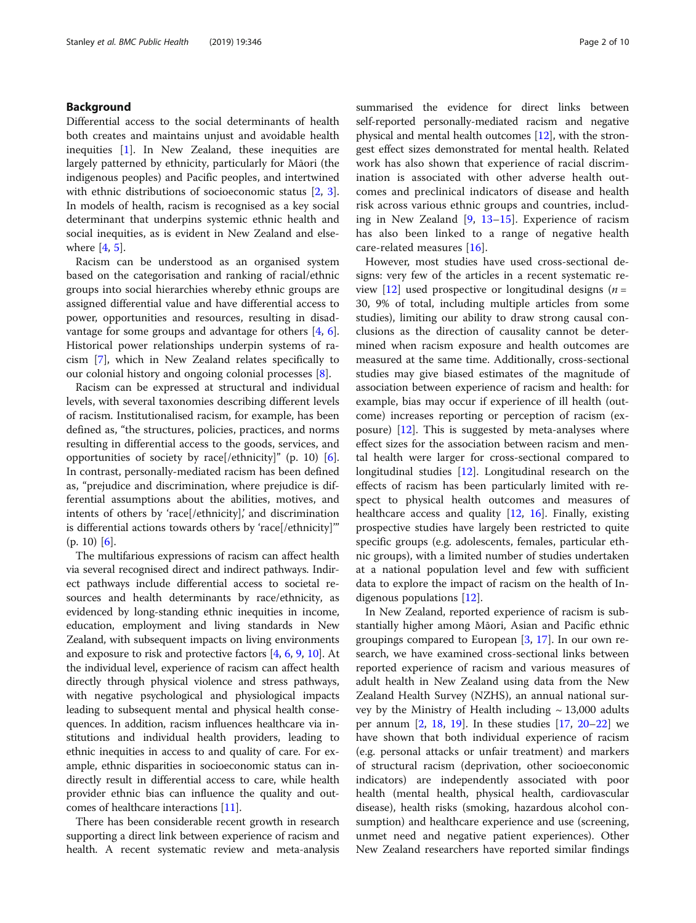## Background

Differential access to the social determinants of health both creates and maintains unjust and avoidable health inequities [[1\]](#page-8-0). In New Zealand, these inequities are largely patterned by ethnicity, particularly for Māori (the indigenous peoples) and Pacific peoples, and intertwined with ethnic distributions of socioeconomic status [\[2](#page-8-0), [3](#page-8-0)]. In models of health, racism is recognised as a key social determinant that underpins systemic ethnic health and social inequities, as is evident in New Zealand and elsewhere [\[4](#page-8-0), [5](#page-8-0)].

Racism can be understood as an organised system based on the categorisation and ranking of racial/ethnic groups into social hierarchies whereby ethnic groups are assigned differential value and have differential access to power, opportunities and resources, resulting in disadvantage for some groups and advantage for others [\[4,](#page-8-0) [6](#page-8-0)]. Historical power relationships underpin systems of racism [[7\]](#page-8-0), which in New Zealand relates specifically to our colonial history and ongoing colonial processes [\[8](#page-8-0)].

Racism can be expressed at structural and individual levels, with several taxonomies describing different levels of racism. Institutionalised racism, for example, has been defined as, "the structures, policies, practices, and norms resulting in differential access to the goods, services, and opportunities of society by race[/ethnicity]" (p. 10) [\[6](#page-8-0)]. In contrast, personally-mediated racism has been defined as, "prejudice and discrimination, where prejudice is differential assumptions about the abilities, motives, and intents of others by 'race[/ethnicity],' and discrimination is differential actions towards others by 'race[/ethnicity]'"  $(p. 10)$  [\[6](#page-8-0)].

The multifarious expressions of racism can affect health via several recognised direct and indirect pathways. Indirect pathways include differential access to societal resources and health determinants by race/ethnicity, as evidenced by long-standing ethnic inequities in income, education, employment and living standards in New Zealand, with subsequent impacts on living environments and exposure to risk and protective factors [\[4,](#page-8-0) [6](#page-8-0), [9](#page-8-0), [10\]](#page-8-0). At the individual level, experience of racism can affect health directly through physical violence and stress pathways, with negative psychological and physiological impacts leading to subsequent mental and physical health consequences. In addition, racism influences healthcare via institutions and individual health providers, leading to ethnic inequities in access to and quality of care. For example, ethnic disparities in socioeconomic status can indirectly result in differential access to care, while health provider ethnic bias can influence the quality and outcomes of healthcare interactions [[11\]](#page-8-0).

There has been considerable recent growth in research supporting a direct link between experience of racism and health. A recent systematic review and meta-analysis summarised the evidence for direct links between self-reported personally-mediated racism and negative physical and mental health outcomes [\[12](#page-8-0)], with the strongest effect sizes demonstrated for mental health. Related work has also shown that experience of racial discrimination is associated with other adverse health outcomes and preclinical indicators of disease and health risk across various ethnic groups and countries, including in New Zealand [[9,](#page-8-0) [13](#page-8-0)–[15\]](#page-8-0). Experience of racism has also been linked to a range of negative health care-related measures [[16\]](#page-8-0).

However, most studies have used cross-sectional designs: very few of the articles in a recent systematic review  $[12]$  $[12]$  used prospective or longitudinal designs  $(n =$ 30, 9% of total, including multiple articles from some studies), limiting our ability to draw strong causal conclusions as the direction of causality cannot be determined when racism exposure and health outcomes are measured at the same time. Additionally, cross-sectional studies may give biased estimates of the magnitude of association between experience of racism and health: for example, bias may occur if experience of ill health (outcome) increases reporting or perception of racism (exposure) [[12\]](#page-8-0). This is suggested by meta-analyses where effect sizes for the association between racism and mental health were larger for cross-sectional compared to longitudinal studies [[12\]](#page-8-0). Longitudinal research on the effects of racism has been particularly limited with respect to physical health outcomes and measures of healthcare access and quality  $[12, 16]$  $[12, 16]$  $[12, 16]$  $[12, 16]$  $[12, 16]$ . Finally, existing prospective studies have largely been restricted to quite specific groups (e.g. adolescents, females, particular ethnic groups), with a limited number of studies undertaken at a national population level and few with sufficient data to explore the impact of racism on the health of Indigenous populations [\[12\]](#page-8-0).

In New Zealand, reported experience of racism is substantially higher among Māori, Asian and Pacific ethnic groupings compared to European  $[3, 17]$  $[3, 17]$  $[3, 17]$  $[3, 17]$ . In our own research, we have examined cross-sectional links between reported experience of racism and various measures of adult health in New Zealand using data from the New Zealand Health Survey (NZHS), an annual national survey by the Ministry of Health including  $\sim$  13,000 adults per annum [\[2](#page-8-0), [18](#page-8-0), [19](#page-8-0)]. In these studies [\[17](#page-8-0), [20](#page-8-0)–[22](#page-8-0)] we have shown that both individual experience of racism (e.g. personal attacks or unfair treatment) and markers of structural racism (deprivation, other socioeconomic indicators) are independently associated with poor health (mental health, physical health, cardiovascular disease), health risks (smoking, hazardous alcohol consumption) and healthcare experience and use (screening, unmet need and negative patient experiences). Other New Zealand researchers have reported similar findings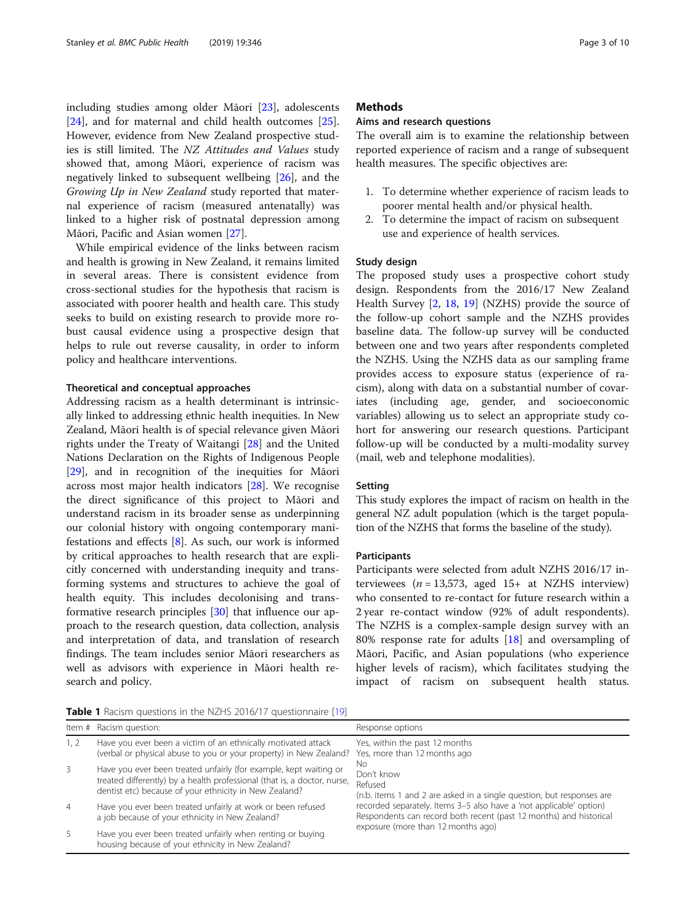<span id="page-2-0"></span>including studies among older Māori [[23\]](#page-8-0), adolescents [[24\]](#page-8-0), and for maternal and child health outcomes [\[25](#page-9-0)]. However, evidence from New Zealand prospective studies is still limited. The NZ Attitudes and Values study showed that, among Māori, experience of racism was negatively linked to subsequent wellbeing [\[26\]](#page-9-0), and the Growing Up in New Zealand study reported that maternal experience of racism (measured antenatally) was linked to a higher risk of postnatal depression among Māori, Pacific and Asian women [\[27](#page-9-0)].

While empirical evidence of the links between racism and health is growing in New Zealand, it remains limited in several areas. There is consistent evidence from cross-sectional studies for the hypothesis that racism is associated with poorer health and health care. This study seeks to build on existing research to provide more robust causal evidence using a prospective design that helps to rule out reverse causality, in order to inform policy and healthcare interventions.

## Theoretical and conceptual approaches

Addressing racism as a health determinant is intrinsically linked to addressing ethnic health inequities. In New Zealand, Māori health is of special relevance given Māori rights under the Treaty of Waitangi [[28](#page-9-0)] and the United Nations Declaration on the Rights of Indigenous People [[29\]](#page-9-0), and in recognition of the inequities for Māori across most major health indicators [[28](#page-9-0)]. We recognise the direct significance of this project to Māori and understand racism in its broader sense as underpinning our colonial history with ongoing contemporary manifestations and effects [[8\]](#page-8-0). As such, our work is informed by critical approaches to health research that are explicitly concerned with understanding inequity and transforming systems and structures to achieve the goal of health equity. This includes decolonising and transformative research principles [[30\]](#page-9-0) that influence our approach to the research question, data collection, analysis and interpretation of data, and translation of research findings. The team includes senior Māori researchers as well as advisors with experience in Māori health research and policy.

## **Methods**

## Aims and research questions

The overall aim is to examine the relationship between reported experience of racism and a range of subsequent health measures. The specific objectives are:

- 1. To determine whether experience of racism leads to poorer mental health and/or physical health.
- 2. To determine the impact of racism on subsequent use and experience of health services.

## Study design

The proposed study uses a prospective cohort study design. Respondents from the 2016/17 New Zealand Health Survey [\[2](#page-8-0), [18,](#page-8-0) [19](#page-8-0)] (NZHS) provide the source of the follow-up cohort sample and the NZHS provides baseline data. The follow-up survey will be conducted between one and two years after respondents completed the NZHS. Using the NZHS data as our sampling frame provides access to exposure status (experience of racism), along with data on a substantial number of covariates (including age, gender, and socioeconomic variables) allowing us to select an appropriate study cohort for answering our research questions. Participant follow-up will be conducted by a multi-modality survey (mail, web and telephone modalities).

## Setting

This study explores the impact of racism on health in the general NZ adult population (which is the target population of the NZHS that forms the baseline of the study).

## Participants

Participants were selected from adult NZHS 2016/17 interviewees ( $n = 13,573$ , aged 15+ at NZHS interview) who consented to re-contact for future research within a 2 year re-contact window (92% of adult respondents). The NZHS is a complex-sample design survey with an 80% response rate for adults [[18](#page-8-0)] and oversampling of Māori, Pacific, and Asian populations (who experience higher levels of racism), which facilitates studying the impact of racism on subsequent health status.

Table 1 Racism questions in the NZHS 2016/17 questionnaire [\[19\]](#page-8-0)

|                | Item # Racism question:                                                                                                                                                                                 | Response options                                                                                                                                                                                                                                                                         |
|----------------|---------------------------------------------------------------------------------------------------------------------------------------------------------------------------------------------------------|------------------------------------------------------------------------------------------------------------------------------------------------------------------------------------------------------------------------------------------------------------------------------------------|
| 1.2            | Have you ever been a victim of an ethnically motivated attack<br>(verbal or physical abuse to you or your property) in New Zealand?                                                                     | Yes, within the past 12 months<br>Yes, more than 12 months ago                                                                                                                                                                                                                           |
| 3              | Have you ever been treated unfairly (for example, kept waiting or<br>treated differently) by a health professional (that is, a doctor, nurse,<br>dentist etc) because of your ethnicity in New Zealand? | No.<br>Don't know<br>Refused<br>(n.b. items 1 and 2 are asked in a single question, but responses are<br>recorded separately. Items 3-5 also have a 'not applicable' option)<br>Respondents can record both recent (past 12 months) and historical<br>exposure (more than 12 months ago) |
| $\overline{4}$ | Have you ever been treated unfairly at work or been refused<br>a job because of your ethnicity in New Zealand?                                                                                          |                                                                                                                                                                                                                                                                                          |
| 5              | Have you ever been treated unfairly when renting or buying<br>housing because of your ethnicity in New Zealand?                                                                                         |                                                                                                                                                                                                                                                                                          |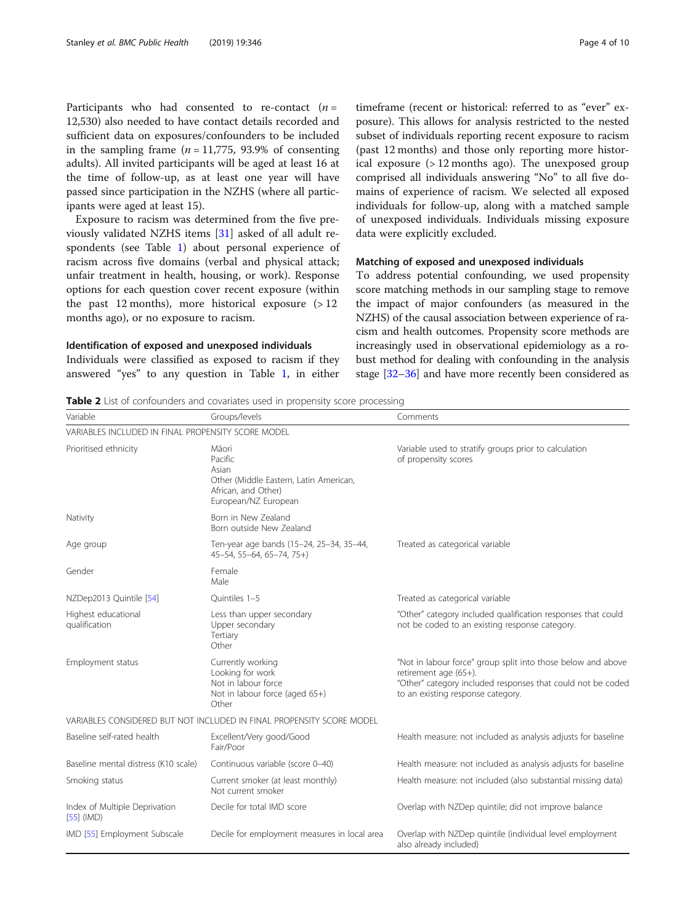<span id="page-3-0"></span>Participants who had consented to re-contact  $(n =$ 12,530) also needed to have contact details recorded and sufficient data on exposures/confounders to be included in the sampling frame  $(n = 11,775, 93.9%$  of consenting adults). All invited participants will be aged at least 16 at the time of follow-up, as at least one year will have passed since participation in the NZHS (where all participants were aged at least 15).

Exposure to racism was determined from the five previously validated NZHS items [\[31\]](#page-9-0) asked of all adult respondents (see Table [1\)](#page-2-0) about personal experience of racism across five domains (verbal and physical attack; unfair treatment in health, housing, or work). Response options for each question cover recent exposure (within the past 12 months), more historical exposure  $(>12$ months ago), or no exposure to racism.

#### Identification of exposed and unexposed individuals

Individuals were classified as exposed to racism if they answered "yes" to any question in Table [1,](#page-2-0) in either

timeframe (recent or historical: referred to as "ever" exposure). This allows for analysis restricted to the nested subset of individuals reporting recent exposure to racism (past 12 months) and those only reporting more historical exposure (> 12 months ago). The unexposed group comprised all individuals answering "No" to all five domains of experience of racism. We selected all exposed individuals for follow-up, along with a matched sample of unexposed individuals. Individuals missing exposure data were explicitly excluded.

## Matching of exposed and unexposed individuals

To address potential confounding, we used propensity score matching methods in our sampling stage to remove the impact of major confounders (as measured in the NZHS) of the causal association between experience of racism and health outcomes. Propensity score methods are increasingly used in observational epidemiology as a robust method for dealing with confounding in the analysis stage [\[32](#page-9-0)–[36](#page-9-0)] and have more recently been considered as

Table 2 List of confounders and covariates used in propensity score processing

| Variable                                           | Groups/levels                                                                                                      | Comments                                                                                                                                                                                  |
|----------------------------------------------------|--------------------------------------------------------------------------------------------------------------------|-------------------------------------------------------------------------------------------------------------------------------------------------------------------------------------------|
| VARIABLES INCLUDED IN FINAL PROPENSITY SCORE MODEL |                                                                                                                    |                                                                                                                                                                                           |
| Prioritised ethnicity                              | Māori<br>Pacific<br>Asian<br>Other (Middle Eastern, Latin American,<br>African, and Other)<br>European/NZ European | Variable used to stratify groups prior to calculation<br>of propensity scores                                                                                                             |
| Nativity                                           | Born in New Zealand<br>Born outside New Zealand                                                                    |                                                                                                                                                                                           |
| Age group                                          | Ten-year age bands (15-24, 25-34, 35-44,<br>45-54, 55-64, 65-74, 75+)                                              | Treated as categorical variable                                                                                                                                                           |
| Gender                                             | Female<br>Male                                                                                                     |                                                                                                                                                                                           |
| NZDep2013 Quintile [54]                            | Ouintiles 1-5                                                                                                      | Treated as categorical variable                                                                                                                                                           |
| Highest educational<br>qualification               | Less than upper secondary<br>Upper secondary<br>Tertiary<br>Other                                                  | "Other" category included qualification responses that could<br>not be coded to an existing response category.                                                                            |
| Employment status                                  | Currently working<br>Looking for work<br>Not in labour force<br>Not in labour force (aged 65+)<br>Other            | "Not in labour force" group split into those below and above<br>retirement age (65+).<br>"Other" category included responses that could not be coded<br>to an existing response category. |
|                                                    | VARIABLES CONSIDERED BUT NOT INCLUDED IN FINAL PROPENSITY SCORE MODEL                                              |                                                                                                                                                                                           |
| Baseline self-rated health                         | Excellent/Very good/Good<br>Fair/Poor                                                                              | Health measure: not included as analysis adjusts for baseline                                                                                                                             |
| Baseline mental distress (K10 scale)               | Continuous variable (score 0-40)                                                                                   | Health measure: not included as analysis adjusts for baseline                                                                                                                             |
| Smoking status                                     | Current smoker (at least monthly)<br>Not current smoker                                                            | Health measure: not included (also substantial missing data)                                                                                                                              |
| Index of Multiple Deprivation<br>$[55]$ (IMD)      | Decile for total IMD score                                                                                         | Overlap with NZDep quintile; did not improve balance                                                                                                                                      |
| IMD [55] Employment Subscale                       | Decile for employment measures in local area                                                                       | Overlap with NZDep quintile (individual level employment<br>also already included)                                                                                                        |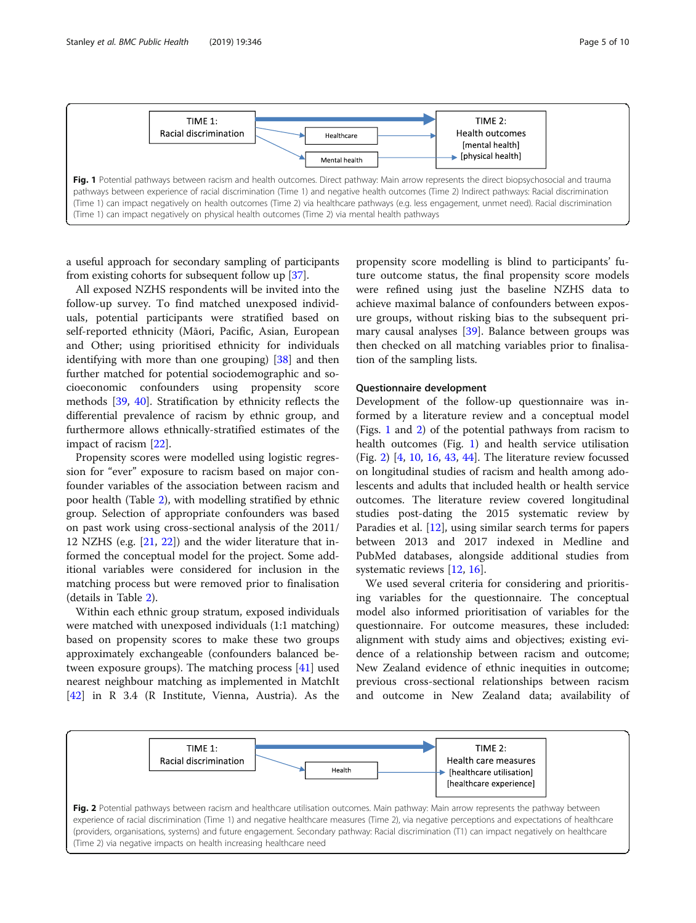

a useful approach for secondary sampling of participants from existing cohorts for subsequent follow up [[37](#page-9-0)].

All exposed NZHS respondents will be invited into the follow-up survey. To find matched unexposed individuals, potential participants were stratified based on self-reported ethnicity (Māori, Pacific, Asian, European and Other; using prioritised ethnicity for individuals identifying with more than one grouping) [\[38\]](#page-9-0) and then further matched for potential sociodemographic and socioeconomic confounders using propensity score methods [\[39,](#page-9-0) [40\]](#page-9-0). Stratification by ethnicity reflects the differential prevalence of racism by ethnic group, and furthermore allows ethnically-stratified estimates of the impact of racism [[22](#page-8-0)].

Propensity scores were modelled using logistic regression for "ever" exposure to racism based on major confounder variables of the association between racism and poor health (Table [2\)](#page-3-0), with modelling stratified by ethnic group. Selection of appropriate confounders was based on past work using cross-sectional analysis of the 2011/ 12 NZHS (e.g. [[21,](#page-8-0) [22\]](#page-8-0)) and the wider literature that informed the conceptual model for the project. Some additional variables were considered for inclusion in the matching process but were removed prior to finalisation (details in Table [2\)](#page-3-0).

Within each ethnic group stratum, exposed individuals were matched with unexposed individuals (1:1 matching) based on propensity scores to make these two groups approximately exchangeable (confounders balanced between exposure groups). The matching process [[41\]](#page-9-0) used nearest neighbour matching as implemented in MatchIt [[42\]](#page-9-0) in R 3.4 (R Institute, Vienna, Austria). As the

propensity score modelling is blind to participants' future outcome status, the final propensity score models were refined using just the baseline NZHS data to achieve maximal balance of confounders between exposure groups, without risking bias to the subsequent primary causal analyses [[39\]](#page-9-0). Balance between groups was then checked on all matching variables prior to finalisation of the sampling lists.

## Questionnaire development

Development of the follow-up questionnaire was informed by a literature review and a conceptual model (Figs. 1 and 2) of the potential pathways from racism to health outcomes (Fig. 1) and health service utilisation (Fig. 2) [\[4,](#page-8-0) [10](#page-8-0), [16](#page-8-0), [43](#page-9-0), [44\]](#page-9-0). The literature review focussed on longitudinal studies of racism and health among adolescents and adults that included health or health service outcomes. The literature review covered longitudinal studies post-dating the 2015 systematic review by Paradies et al. [[12\]](#page-8-0), using similar search terms for papers between 2013 and 2017 indexed in Medline and PubMed databases, alongside additional studies from systematic reviews [\[12](#page-8-0), [16](#page-8-0)].

We used several criteria for considering and prioritising variables for the questionnaire. The conceptual model also informed prioritisation of variables for the questionnaire. For outcome measures, these included: alignment with study aims and objectives; existing evidence of a relationship between racism and outcome; New Zealand evidence of ethnic inequities in outcome; previous cross-sectional relationships between racism and outcome in New Zealand data; availability of

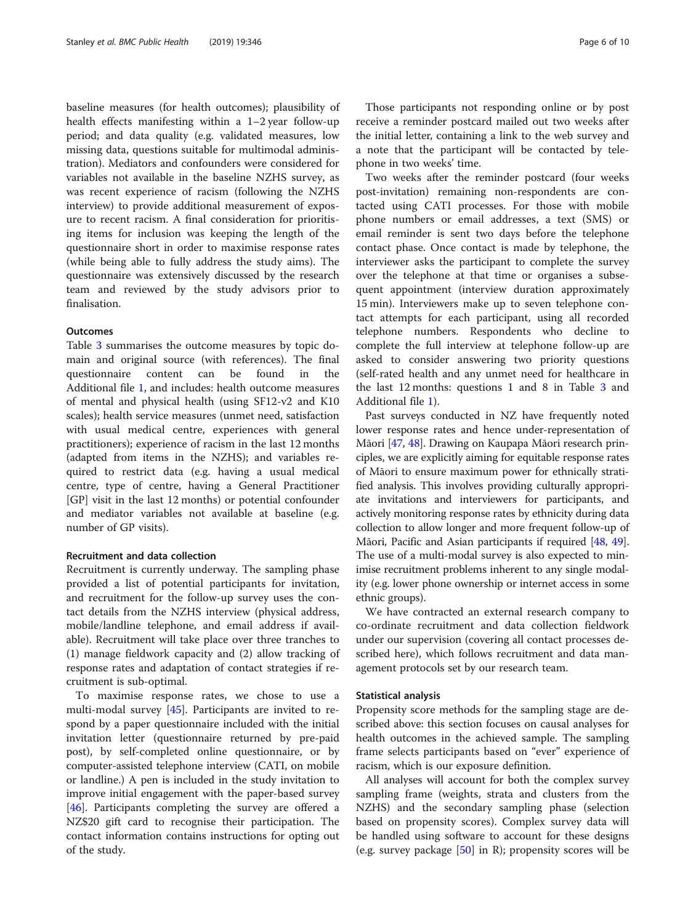baseline measures (for health outcomes); plausibility of health effects manifesting within a 1–2 year follow-up period; and data quality (e.g. validated measures, low missing data, questions suitable for multimodal administration). Mediators and confounders were considered for variables not available in the baseline NZHS survey, as was recent experience of racism (following the NZHS interview) to provide additional measurement of exposure to recent racism. A final consideration for prioritising items for inclusion was keeping the length of the questionnaire short in order to maximise response rates (while being able to fully address the study aims). The questionnaire was extensively discussed by the research team and reviewed by the study advisors prior to finalisation.

## **Outcomes**

Table [3](#page-6-0) summarises the outcome measures by topic domain and original source (with references). The final questionnaire content can be found in the Additional file [1](#page-7-0), and includes: health outcome measures of mental and physical health (using SF12-v2 and K10 scales); health service measures (unmet need, satisfaction with usual medical centre, experiences with general practitioners); experience of racism in the last 12 months (adapted from items in the NZHS); and variables required to restrict data (e.g. having a usual medical centre, type of centre, having a General Practitioner [GP] visit in the last 12 months) or potential confounder and mediator variables not available at baseline (e.g. number of GP visits).

## Recruitment and data collection

Recruitment is currently underway. The sampling phase provided a list of potential participants for invitation, and recruitment for the follow-up survey uses the contact details from the NZHS interview (physical address, mobile/landline telephone, and email address if available). Recruitment will take place over three tranches to (1) manage fieldwork capacity and (2) allow tracking of response rates and adaptation of contact strategies if recruitment is sub-optimal.

To maximise response rates, we chose to use a multi-modal survey [[45](#page-9-0)]. Participants are invited to respond by a paper questionnaire included with the initial invitation letter (questionnaire returned by pre-paid post), by self-completed online questionnaire, or by computer-assisted telephone interview (CATI, on mobile or landline.) A pen is included in the study invitation to improve initial engagement with the paper-based survey [[46\]](#page-9-0). Participants completing the survey are offered a NZ\$20 gift card to recognise their participation. The contact information contains instructions for opting out of the study.

Those participants not responding online or by post receive a reminder postcard mailed out two weeks after the initial letter, containing a link to the web survey and a note that the participant will be contacted by telephone in two weeks' time.

Two weeks after the reminder postcard (four weeks post-invitation) remaining non-respondents are contacted using CATI processes. For those with mobile phone numbers or email addresses, a text (SMS) or email reminder is sent two days before the telephone contact phase. Once contact is made by telephone, the interviewer asks the participant to complete the survey over the telephone at that time or organises a subsequent appointment (interview duration approximately 15 min). Interviewers make up to seven telephone contact attempts for each participant, using all recorded telephone numbers. Respondents who decline to complete the full interview at telephone follow-up are asked to consider answering two priority questions (self-rated health and any unmet need for healthcare in the last 12 months: questions 1 and 8 in Table [3](#page-6-0) and Additional file [1](#page-7-0)).

Past surveys conducted in NZ have frequently noted lower response rates and hence under-representation of Māori [\[47,](#page-9-0) [48](#page-9-0)]. Drawing on Kaupapa Māori research principles, we are explicitly aiming for equitable response rates of Māori to ensure maximum power for ethnically stratified analysis. This involves providing culturally appropriate invitations and interviewers for participants, and actively monitoring response rates by ethnicity during data collection to allow longer and more frequent follow-up of Māori, Pacific and Asian participants if required [\[48](#page-9-0), [49](#page-9-0)]. The use of a multi-modal survey is also expected to minimise recruitment problems inherent to any single modality (e.g. lower phone ownership or internet access in some ethnic groups).

We have contracted an external research company to co-ordinate recruitment and data collection fieldwork under our supervision (covering all contact processes described here), which follows recruitment and data management protocols set by our research team.

#### Statistical analysis

Propensity score methods for the sampling stage are described above: this section focuses on causal analyses for health outcomes in the achieved sample. The sampling frame selects participants based on "ever" experience of racism, which is our exposure definition.

All analyses will account for both the complex survey sampling frame (weights, strata and clusters from the NZHS) and the secondary sampling phase (selection based on propensity scores). Complex survey data will be handled using software to account for these designs (e.g. survey package  $[50]$  $[50]$  $[50]$  in R); propensity scores will be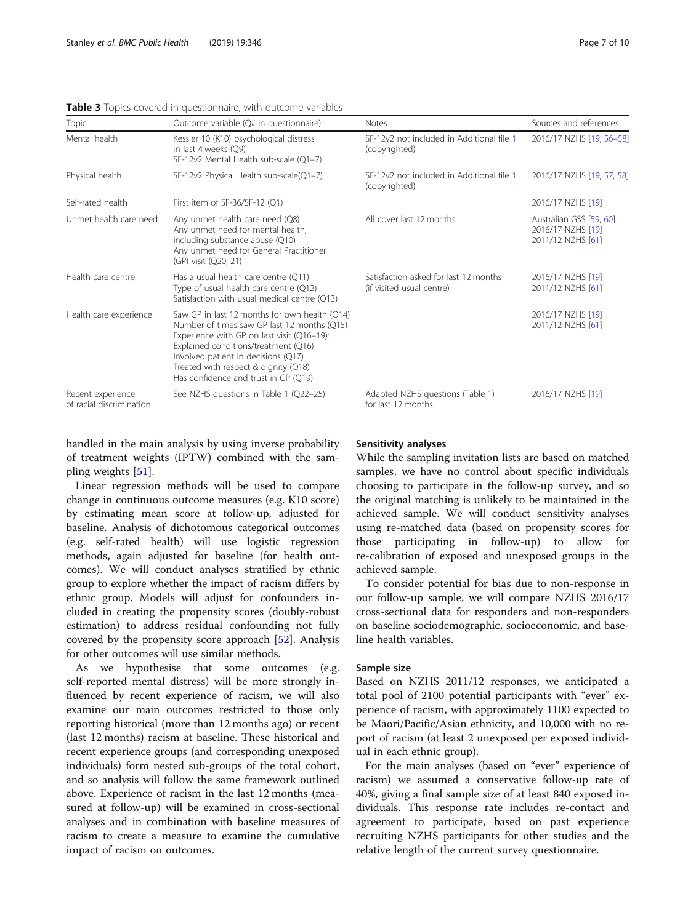| Topic                                         | Outcome variable (Q# in questionnaire)                                                                                                                                                                                                                                                                    | Notes                                                              | Sources and references                                            |
|-----------------------------------------------|-----------------------------------------------------------------------------------------------------------------------------------------------------------------------------------------------------------------------------------------------------------------------------------------------------------|--------------------------------------------------------------------|-------------------------------------------------------------------|
| Mental health                                 | Kessler 10 (K10) psychological distress<br>in last 4 weeks (Q9)<br>SF-12v2 Mental Health sub-scale (Q1-7)                                                                                                                                                                                                 | SF-12v2 not included in Additional file 1<br>(copyrighted)         | 2016/17 NZHS [19, 56-58]                                          |
| Physical health                               | SF-12v2 Physical Health sub-scale(Q1-7)                                                                                                                                                                                                                                                                   | SE-12v2 not included in Additional file 1<br>(copyrighted)         | 2016/17 NZHS [19, 57, 58]                                         |
| Self-rated health                             | First item of SF-36/SF-12 (Q1)                                                                                                                                                                                                                                                                            |                                                                    | 2016/17 NZHS [19]                                                 |
| Unmet health care need                        | Any unmet health care need (Q8)<br>Any unmet need for mental health,<br>including substance abuse (Q10)<br>Any unmet need for General Practitioner<br>(GP) visit (Q20, 21)                                                                                                                                | All cover last 12 months                                           | Australian GSS [59, 60]<br>2016/17 NZHS [19]<br>2011/12 NZHS [61] |
| Health care centre                            | Has a usual health care centre (Q11)<br>Type of usual health care centre (Q12)<br>Satisfaction with usual medical centre (Q13)                                                                                                                                                                            | Satisfaction asked for last 12 months<br>(if visited usual centre) | 2016/17 NZHS [19]<br>2011/12 NZHS [61]                            |
| Health care experience                        | Saw GP in last 12 months for own health (Q14)<br>Number of times saw GP last 12 months (Q15)<br>Experience with GP on last visit (Q16-19):<br>Explained conditions/treatment (Q16)<br>Involved patient in decisions (Q17)<br>Treated with respect & dignity (Q18)<br>Has confidence and trust in GP (Q19) |                                                                    | 2016/17 NZHS [19]<br>2011/12 NZHS [61]                            |
| Recent experience<br>of racial discrimination | See NZHS questions in Table 1 (Q22-25)                                                                                                                                                                                                                                                                    | Adapted NZHS questions (Table 1)<br>for last 12 months             | 2016/17 NZHS [19]                                                 |

<span id="page-6-0"></span>Table 3 Topics covered in questionnaire, with outcome variables

handled in the main analysis by using inverse probability of treatment weights (IPTW) combined with the sampling weights [\[51\]](#page-9-0).

Linear regression methods will be used to compare change in continuous outcome measures (e.g. K10 score) by estimating mean score at follow-up, adjusted for baseline. Analysis of dichotomous categorical outcomes (e.g. self-rated health) will use logistic regression methods, again adjusted for baseline (for health outcomes). We will conduct analyses stratified by ethnic group to explore whether the impact of racism differs by ethnic group. Models will adjust for confounders included in creating the propensity scores (doubly-robust estimation) to address residual confounding not fully covered by the propensity score approach [[52\]](#page-9-0). Analysis for other outcomes will use similar methods.

As we hypothesise that some outcomes (e.g. self-reported mental distress) will be more strongly influenced by recent experience of racism, we will also examine our main outcomes restricted to those only reporting historical (more than 12 months ago) or recent (last 12 months) racism at baseline. These historical and recent experience groups (and corresponding unexposed individuals) form nested sub-groups of the total cohort, and so analysis will follow the same framework outlined above. Experience of racism in the last 12 months (measured at follow-up) will be examined in cross-sectional analyses and in combination with baseline measures of racism to create a measure to examine the cumulative impact of racism on outcomes.

## Sensitivity analyses

While the sampling invitation lists are based on matched samples, we have no control about specific individuals choosing to participate in the follow-up survey, and so the original matching is unlikely to be maintained in the achieved sample. We will conduct sensitivity analyses using re-matched data (based on propensity scores for those participating in follow-up) to allow for re-calibration of exposed and unexposed groups in the achieved sample.

To consider potential for bias due to non-response in our follow-up sample, we will compare NZHS 2016/17 cross-sectional data for responders and non-responders on baseline sociodemographic, socioeconomic, and baseline health variables.

## Sample size

Based on NZHS 2011/12 responses, we anticipated a total pool of 2100 potential participants with "ever" experience of racism, with approximately 1100 expected to be Māori/Pacific/Asian ethnicity, and 10,000 with no report of racism (at least 2 unexposed per exposed individual in each ethnic group).

For the main analyses (based on "ever" experience of racism) we assumed a conservative follow-up rate of 40%, giving a final sample size of at least 840 exposed individuals. This response rate includes re-contact and agreement to participate, based on past experience recruiting NZHS participants for other studies and the relative length of the current survey questionnaire.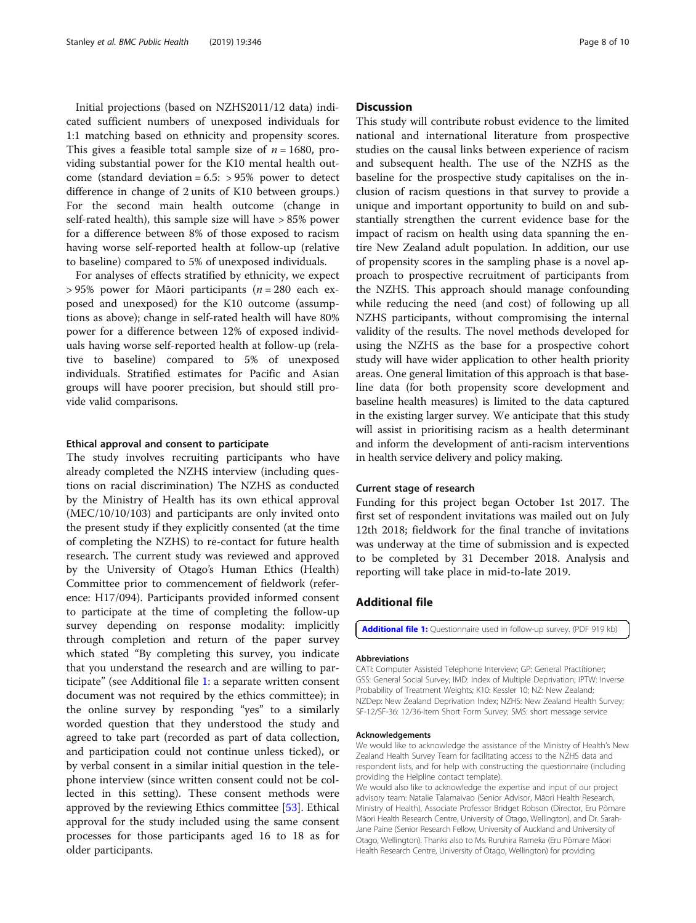<span id="page-7-0"></span>Initial projections (based on NZHS2011/12 data) indicated sufficient numbers of unexposed individuals for 1:1 matching based on ethnicity and propensity scores. This gives a feasible total sample size of  $n = 1680$ , providing substantial power for the K10 mental health outcome (standard deviation  $= 6.5$ :  $> 95\%$  power to detect difference in change of 2 units of K10 between groups.) For the second main health outcome (change in self-rated health), this sample size will have > 85% power for a difference between 8% of those exposed to racism having worse self-reported health at follow-up (relative to baseline) compared to 5% of unexposed individuals.

For analyses of effects stratified by ethnicity, we expect  $> 95\%$  power for Māori participants ( $n = 280$  each exposed and unexposed) for the K10 outcome (assumptions as above); change in self-rated health will have 80% power for a difference between 12% of exposed individuals having worse self-reported health at follow-up (relative to baseline) compared to 5% of unexposed individuals. Stratified estimates for Pacific and Asian groups will have poorer precision, but should still provide valid comparisons.

## Ethical approval and consent to participate

The study involves recruiting participants who have already completed the NZHS interview (including questions on racial discrimination) The NZHS as conducted by the Ministry of Health has its own ethical approval (MEC/10/10/103) and participants are only invited onto the present study if they explicitly consented (at the time of completing the NZHS) to re-contact for future health research. The current study was reviewed and approved by the University of Otago's Human Ethics (Health) Committee prior to commencement of fieldwork (reference: H17/094). Participants provided informed consent to participate at the time of completing the follow-up survey depending on response modality: implicitly through completion and return of the paper survey which stated "By completing this survey, you indicate that you understand the research and are willing to participate" (see Additional file 1: a separate written consent document was not required by the ethics committee); in the online survey by responding "yes" to a similarly worded question that they understood the study and agreed to take part (recorded as part of data collection, and participation could not continue unless ticked), or by verbal consent in a similar initial question in the telephone interview (since written consent could not be collected in this setting). These consent methods were approved by the reviewing Ethics committee [[53](#page-9-0)]. Ethical approval for the study included using the same consent processes for those participants aged 16 to 18 as for older participants.

## **Discussion**

This study will contribute robust evidence to the limited national and international literature from prospective studies on the causal links between experience of racism and subsequent health. The use of the NZHS as the baseline for the prospective study capitalises on the inclusion of racism questions in that survey to provide a unique and important opportunity to build on and substantially strengthen the current evidence base for the impact of racism on health using data spanning the entire New Zealand adult population. In addition, our use of propensity scores in the sampling phase is a novel approach to prospective recruitment of participants from the NZHS. This approach should manage confounding while reducing the need (and cost) of following up all NZHS participants, without compromising the internal validity of the results. The novel methods developed for using the NZHS as the base for a prospective cohort study will have wider application to other health priority areas. One general limitation of this approach is that baseline data (for both propensity score development and baseline health measures) is limited to the data captured in the existing larger survey. We anticipate that this study will assist in prioritising racism as a health determinant and inform the development of anti-racism interventions in health service delivery and policy making.

## Current stage of research

Funding for this project began October 1st 2017. The first set of respondent invitations was mailed out on July 12th 2018; fieldwork for the final tranche of invitations was underway at the time of submission and is expected to be completed by 31 December 2018. Analysis and reporting will take place in mid-to-late 2019.

## Additional file

[Additional file 1:](https://doi.org/10.1186/s12889-019-6664-x) Questionnaire used in follow-up survey. (PDF 919 kb)

#### Abbreviations

CATI: Computer Assisted Telephone Interview; GP: General Practitioner; GSS: General Social Survey; IMD: Index of Multiple Deprivation; IPTW: Inverse Probability of Treatment Weights; K10: Kessler 10; NZ: New Zealand; NZDep: New Zealand Deprivation Index; NZHS: New Zealand Health Survey; SF-12/SF-36: 12/36-Item Short Form Survey; SMS: short message service

#### Acknowledgements

We would like to acknowledge the assistance of the Ministry of Health's New Zealand Health Survey Team for facilitating access to the NZHS data and respondent lists, and for help with constructing the questionnaire (including providing the Helpline contact template).

We would also like to acknowledge the expertise and input of our project advisory team: Natalie Talamaivao (Senior Advisor, Māori Health Research, Ministry of Health), Associate Professor Bridget Robson (Director, Eru Pōmare Māori Health Research Centre, University of Otago, Wellington), and Dr. Sarah-Jane Paine (Senior Research Fellow, University of Auckland and University of Otago, Wellington). Thanks also to Ms. Ruruhira Rameka (Eru Pōmare Māori Health Research Centre, University of Otago, Wellington) for providing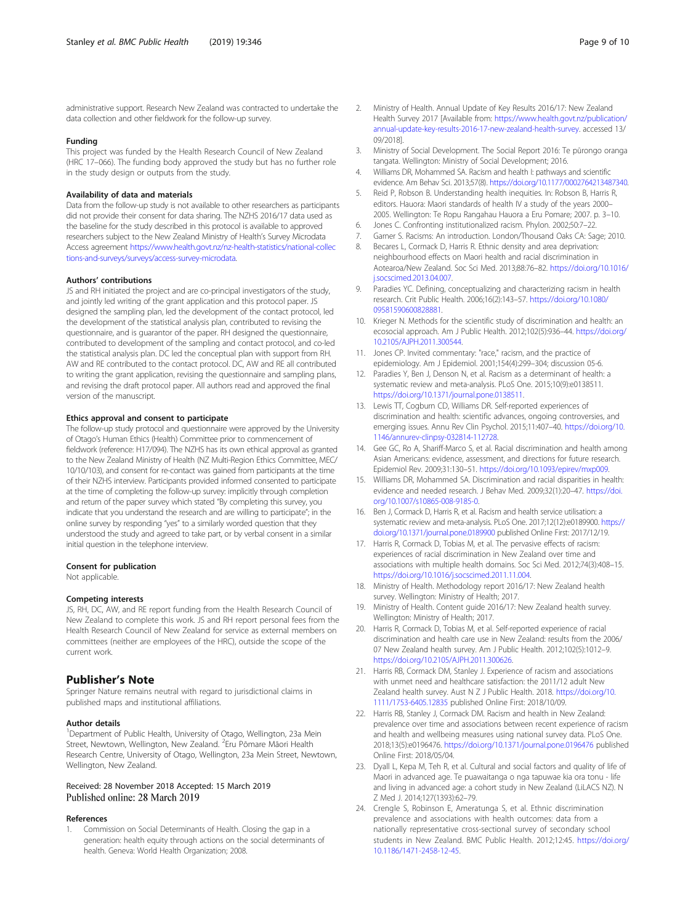<span id="page-8-0"></span>data collection and other fieldwork for the follow-up survey.

#### Funding

This project was funded by the Health Research Council of New Zealand (HRC 17–066). The funding body approved the study but has no further role in the study design or outputs from the study.

#### Availability of data and materials

Data from the follow-up study is not available to other researchers as participants did not provide their consent for data sharing. The NZHS 2016/17 data used as the baseline for the study described in this protocol is available to approved researchers subject to the New Zealand Ministry of Health's Survey Microdata Access agreement [https://www.health.govt.nz/nz-health-statistics/national-collec](https://www.health.govt.nz/nz-health-statistics/national-collections-and-surveys/surveys/access-survey-microdata) [tions-and-surveys/surveys/access-survey-microdata.](https://www.health.govt.nz/nz-health-statistics/national-collections-and-surveys/surveys/access-survey-microdata)

## Authors' contributions

JS and RH initiated the project and are co-principal investigators of the study, and jointly led writing of the grant application and this protocol paper. JS designed the sampling plan, led the development of the contact protocol, led the development of the statistical analysis plan, contributed to revising the questionnaire, and is guarantor of the paper. RH designed the questionnaire, contributed to development of the sampling and contact protocol, and co-led the statistical analysis plan. DC led the conceptual plan with support from RH. AW and RE contributed to the contact protocol. DC, AW and RE all contributed to writing the grant application, revising the questionnaire and sampling plans, and revising the draft protocol paper. All authors read and approved the final version of the manuscript.

## Ethics approval and consent to participate

The follow-up study protocol and questionnaire were approved by the University of Otago's Human Ethics (Health) Committee prior to commencement of fieldwork (reference: H17/094). The NZHS has its own ethical approval as granted to the New Zealand Ministry of Health (NZ Multi-Region Ethics Committee, MEC/ 10/10/103), and consent for re-contact was gained from participants at the time of their NZHS interview. Participants provided informed consented to participate at the time of completing the follow-up survey: implicitly through completion and return of the paper survey which stated "By completing this survey, you indicate that you understand the research and are willing to participate"; in the online survey by responding "yes" to a similarly worded question that they understood the study and agreed to take part, or by verbal consent in a similar initial question in the telephone interview.

#### Consent for publication

Not applicable.

#### Competing interests

JS, RH, DC, AW, and RE report funding from the Health Research Council of New Zealand to complete this work. JS and RH report personal fees from the Health Research Council of New Zealand for service as external members on committees (neither are employees of the HRC), outside the scope of the current work.

## Publisher's Note

Springer Nature remains neutral with regard to jurisdictional claims in published maps and institutional affiliations.

#### Author details

<sup>1</sup>Department of Public Health, University of Otago, Wellington, 23a Mein Street, Newtown, Wellington, New Zealand. <sup>2</sup>Eru Pōmare Māori Health Research Centre, University of Otago, Wellington, 23a Mein Street, Newtown, Wellington, New Zealand.

## Received: 28 November 2018 Accepted: 15 March 2019 Published online: 28 March 2019

#### References

1. Commission on Social Determinants of Health. Closing the gap in a generation: health equity through actions on the social determinants of health. Geneva: World Health Organization; 2008.

- 2. Ministry of Health. Annual Update of Key Results 2016/17: New Zealand Health Survey 2017 [Available from: [https://www.health.govt.nz/publication/](https://www.health.govt.nz/publication/annual-update-key-results-2016-17-new-zealand-health-survey) [annual-update-key-results-2016-17-new-zealand-health-survey.](https://www.health.govt.nz/publication/annual-update-key-results-2016-17-new-zealand-health-survey) accessed 13/ 09/2018].
- 3. Ministry of Social Development. The Social Report 2016: Te pūrongo oranga tangata. Wellington: Ministry of Social Development; 2016.
- 4. Williams DR, Mohammed SA. Racism and health I: pathways and scientific evidence. Am Behav Sci. 2013;57(8). [https://doi.org/10.1177/0002764213487340.](https://doi.org/10.1177/0002764213487340)
- 5. Reid P, Robson B. Understanding health inequities. In: Robson B, Harris R, editors. Hauora: Maori standards of health IV a study of the years 2000– 2005. Wellington: Te Ropu Rangahau Hauora a Eru Pomare; 2007. p. 3–10.
- 6. Jones C. Confronting institutionalized racism. Phylon. 2002;50:7–22.
- 7. Garner S. Racisms: An introduction. London/Thousand Oaks CA: Sage; 2010.<br>8. Recares L. Cormack D. Harris R. Ethnic density and area deprivation:
- 8. Becares L, Cormack D, Harris R. Ethnic density and area deprivation: neighbourhood effects on Maori health and racial discrimination in Aotearoa/New Zealand. Soc Sci Med. 2013;88:76–82. [https://doi.org/10.1016/](https://doi.org/10.1016/j.socscimed.2013.04.007) [j.socscimed.2013.04.007](https://doi.org/10.1016/j.socscimed.2013.04.007).
- Paradies YC. Defining, conceptualizing and characterizing racism in health research. Crit Public Health. 2006;16(2):143–57. [https://doi.org/10.1080/](https://doi.org/10.1080/09581590600828881) [09581590600828881.](https://doi.org/10.1080/09581590600828881)
- 10. Krieger N. Methods for the scientific study of discrimination and health: an ecosocial approach. Am J Public Health. 2012;102(5):936–44. [https://doi.org/](https://doi.org/10.2105/AJPH.2011.300544) [10.2105/AJPH.2011.300544.](https://doi.org/10.2105/AJPH.2011.300544)
- 11. Jones CP. Invited commentary: "race," racism, and the practice of epidemiology. Am J Epidemiol. 2001;154(4):299–304; discussion 05-6.
- 12. Paradies Y, Ben J, Denson N, et al. Racism as a determinant of health: a systematic review and meta-analysis. PLoS One. 2015;10(9):e0138511. [https://doi.org/10.1371/journal.pone.0138511.](https://doi.org/10.1371/journal.pone.0138511)
- 13. Lewis TT, Cogburn CD, Williams DR. Self-reported experiences of discrimination and health: scientific advances, ongoing controversies, and emerging issues. Annu Rev Clin Psychol. 2015;11:407–40. [https://doi.org/10.](https://doi.org/10.1146/annurev-clinpsy-032814-112728) [1146/annurev-clinpsy-032814-112728.](https://doi.org/10.1146/annurev-clinpsy-032814-112728)
- 14. Gee GC, Ro A, Shariff-Marco S, et al. Racial discrimination and health among Asian Americans: evidence, assessment, and directions for future research. Epidemiol Rev. 2009;31:130–51. [https://doi.org/10.1093/epirev/mxp009.](https://doi.org/10.1093/epirev/mxp009)
- 15. Williams DR, Mohammed SA. Discrimination and racial disparities in health: evidence and needed research. J Behav Med. 2009;32(1):20–47. [https://doi.](https://doi.org/10.1007/s10865-008-9185-0) [org/10.1007/s10865-008-9185-0](https://doi.org/10.1007/s10865-008-9185-0).
- 16. Ben J, Cormack D, Harris R, et al. Racism and health service utilisation: a systematic review and meta-analysis. PLoS One. 2017;12(12):e0189900. [https://](https://doi.org/10.1371/journal.pone.0189900) [doi.org/10.1371/journal.pone.0189900](https://doi.org/10.1371/journal.pone.0189900) published Online First: 2017/12/19.
- 17. Harris R, Cormack D, Tobias M, et al. The pervasive effects of racism: experiences of racial discrimination in New Zealand over time and associations with multiple health domains. Soc Sci Med. 2012;74(3):408–15. [https://doi.org/10.1016/j.socscimed.2011.11.004.](https://doi.org/10.1016/j.socscimed.2011.11.004)
- 18. Ministry of Health. Methodology report 2016/17: New Zealand health survey. Wellington: Ministry of Health; 2017.
- 19. Ministry of Health. Content guide 2016/17: New Zealand health survey. Wellington: Ministry of Health; 2017.
- 20. Harris R, Cormack D, Tobias M, et al. Self-reported experience of racial discrimination and health care use in New Zealand: results from the 2006/ 07 New Zealand health survey. Am J Public Health. 2012;102(5):1012–9. <https://doi.org/10.2105/AJPH.2011.300626>.
- 21. Harris RB, Cormack DM, Stanley J. Experience of racism and associations with unmet need and healthcare satisfaction: the 2011/12 adult New Zealand health survey. Aust N Z J Public Health. 2018. [https://doi.org/10.](https://doi.org/10.1111/1753-6405.12835) [1111/1753-6405.12835](https://doi.org/10.1111/1753-6405.12835) published Online First: 2018/10/09.
- 22. Harris RB, Stanley J, Cormack DM. Racism and health in New Zealand: prevalence over time and associations between recent experience of racism and health and wellbeing measures using national survey data. PLoS One. 2018;13(5):e0196476. <https://doi.org/10.1371/journal.pone.0196476> published Online First: 2018/05/04.
- 23. Dyall L, Kepa M, Teh R, et al. Cultural and social factors and quality of life of Maori in advanced age. Te puawaitanga o nga tapuwae kia ora tonu - life and living in advanced age: a cohort study in New Zealand (LiLACS NZ). N Z Med J. 2014;127(1393):62–79.
- 24. Crengle S, Robinson E, Ameratunga S, et al. Ethnic discrimination prevalence and associations with health outcomes: data from a nationally representative cross-sectional survey of secondary school students in New Zealand. BMC Public Health. 2012;12:45. [https://doi.org/](https://doi.org/10.1186/1471-2458-12-45) [10.1186/1471-2458-12-45](https://doi.org/10.1186/1471-2458-12-45).